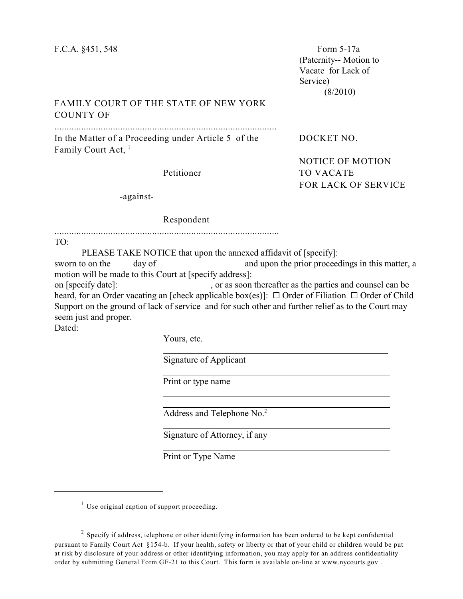(Paternity-- Motion to Vacate for Lack of Service) (8/2010)

## FAMILY COURT OF THE STATE OF NEW YORK COUNTY OF

...........................................................................................

In the Matter of a Proceeding under Article 5 of the DOCKET NO. Family Court Act, <sup>1</sup>

NOTICE OF MOTION

FOR LACK OF SERVICE

Petitioner TO VACATE

-against-

## Respondent

............................................................................................

TO:

PLEASE TAKE NOTICE that upon the annexed affidavit of [specify]:

sworn to on the day of and upon the prior proceedings in this matter, a motion will be made to this Court at [specify address]:

on [specify date]: , or as soon thereafter as the parties and counsel can be heard, for an Order vacating an [check applicable box(es)]:  $\Box$  Order of Filiation  $\Box$  Order of Child Support on the ground of lack of service and for such other and further relief as to the Court may seem just and proper.

Dated:

Yours, etc.

 $\overline{a}$ 

 $\overline{a}$ 

Signature of Applicant

Print or type name

Address and Telephone No.<sup>2</sup>

Signature of Attorney, if any

Print or Type Name

 $1$  Use original caption of support proceeding.

 $2$  Specify if address, telephone or other identifying information has been ordered to be kept confidential pursuant to Family Court Act §154-b. If your health, safety or liberty or that of your child or children would be put at risk by disclosure of your address or other identifying information, you may apply for an address confidentiality order by submitting General Form GF-21 to this Court. This form is available on-line at www.nycourts.gov .